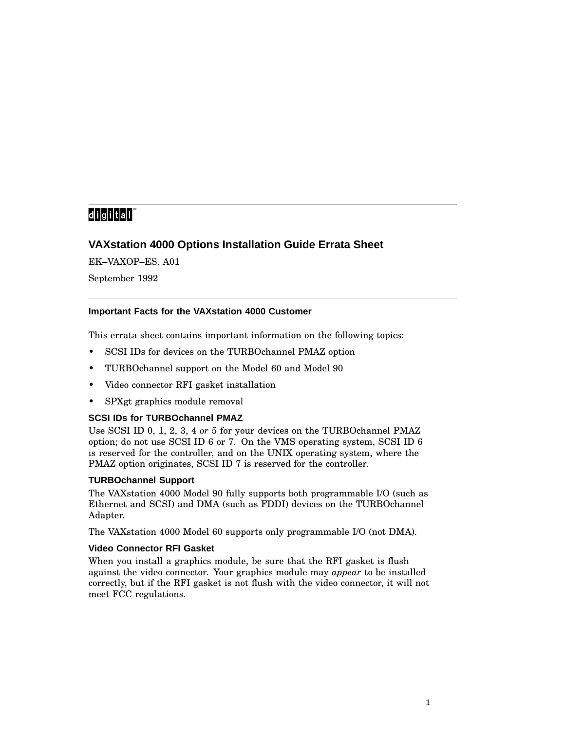# 

# **VAXstation 4000 Options Installation Guide Errata Sheet**

EK–VAXOP–ES. A01 September 1992

## **Important Facts for the VAXstation 4000 Customer**

This errata sheet contains important information on the following topics:

- SCSI IDs for devices on the TURBOchannel PMAZ option
- TURBOchannel support on the Model 60 and Model 90
- Video connector RFI gasket installation
- SPXgt graphics module removal

## **SCSI IDs for TURBOchannel PMAZ**

Use SCSI ID 0, 1, 2, 3, 4 *or* 5 for your devices on the TURBOchannel PMAZ option; do not use SCSI ID 6 or 7. On the VMS operating system, SCSI ID 6 is reserved for the controller, and on the UNIX operating system, where the PMAZ option originates, SCSI ID 7 is reserved for the controller.

#### **TURBOchannel Support**

The VAXstation 4000 Model 90 fully supports both programmable I/O (such as Ethernet and SCSI) and DMA (such as FDDI) devices on the TURBOchannel Adapter.

The VAXstation 4000 Model 60 supports only programmable I/O (not DMA).

#### **Video Connector RFI Gasket**

When you install a graphics module, be sure that the RFI gasket is flush against the video connector. Your graphics module may *appear* to be installed correctly, but if the RFI gasket is not flush with the video connector, it will not meet FCC regulations.